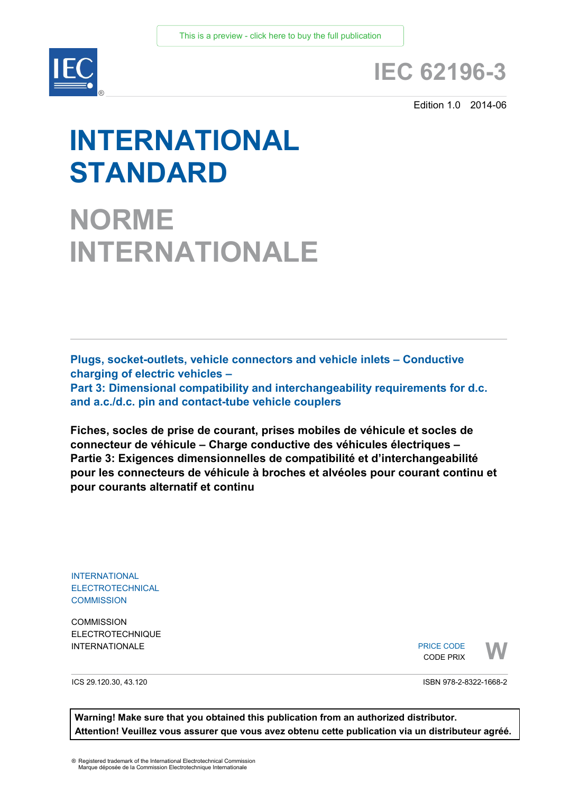

# **IEC 62196-3**

Edition 1.0 2014-06

# **INTERNATIONAL STANDARD**

**NORME INTERNATIONALE**

**Plugs, socket-outlets, vehicle connectors and vehicle inlets – Conductive charging of electric vehicles –** 

**Part 3: Dimensional compatibility and interchangeability requirements for d.c. and a.c./d.c. pin and contact-tube vehicle couplers** 

**Fiches, socles de prise de courant, prises mobiles de véhicule et socles de connecteur de véhicule – Charge conductive des véhicules électriques – Partie 3: Exigences dimensionnelles de compatibilité et d'interchangeabilité pour les connecteurs de véhicule à broches et alvéoles pour courant continu et pour courants alternatif et continu**

INTERNATIONAL ELECTROTECHNICAL **COMMISSION** 

**COMMISSION** ELECTROTECHNIQUE

INTERNATIONALE PRICE CODE PRIX PRICE CODE CODE PRIX



ICS 29.120.30, 43.120

ISBN 978-2-8322-1668-2

**Warning! Make sure that you obtained this publication from an authorized distributor. Attention! Veuillez vous assurer que vous avez obtenu cette publication via un distributeur agréé.**

® Registered trademark of the International Electrotechnical Commission Marque déposée de la Commission Electrotechnique Internationale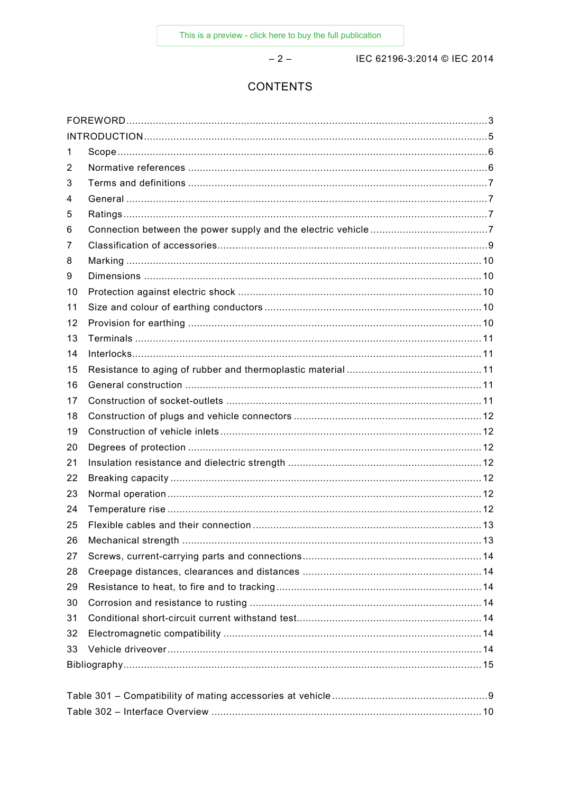$-2-$ 

IEC 62196-3:2014 © IEC 2014

# **CONTENTS**

| 1  |                                 |  |  |
|----|---------------------------------|--|--|
| 2  |                                 |  |  |
| 3  |                                 |  |  |
| 4  |                                 |  |  |
| 5  |                                 |  |  |
| 6  |                                 |  |  |
| 7  |                                 |  |  |
| 8  |                                 |  |  |
| 9  |                                 |  |  |
| 10 |                                 |  |  |
| 11 |                                 |  |  |
| 12 |                                 |  |  |
| 13 |                                 |  |  |
| 14 |                                 |  |  |
| 15 |                                 |  |  |
| 16 |                                 |  |  |
| 17 |                                 |  |  |
| 18 |                                 |  |  |
| 19 |                                 |  |  |
| 20 |                                 |  |  |
| 21 |                                 |  |  |
| 22 |                                 |  |  |
| 23 |                                 |  |  |
| 24 |                                 |  |  |
| 25 |                                 |  |  |
| 26 |                                 |  |  |
| 27 |                                 |  |  |
| 28 |                                 |  |  |
| 29 |                                 |  |  |
| 30 |                                 |  |  |
| 31 |                                 |  |  |
| 32 |                                 |  |  |
| 33 |                                 |  |  |
|    |                                 |  |  |
|    |                                 |  |  |
|    | and service and a series of the |  |  |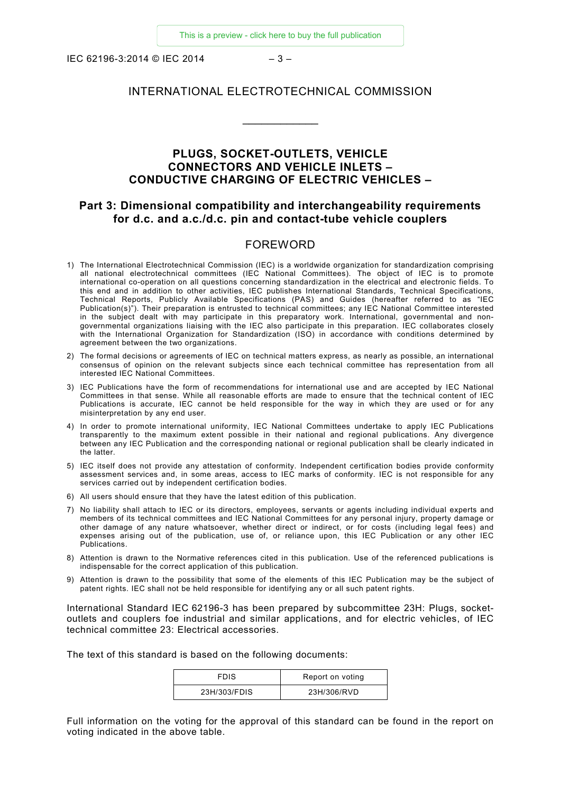IEC 62196-3:2014 © IEC 2014  $-3-$ 

# INTERNATIONAL ELECTROTECHNICAL COMMISSION

 $\overline{\phantom{a}}$ 

# **PLUGS, SOCKET-OUTLETS, VEHICLE CONNECTORS AND VEHICLE INLETS – CONDUCTIVE CHARGING OF ELECTRIC VEHICLES –**

# **Part 3: Dimensional compatibility and interchangeability requirements for d.c. and a.c./d.c. pin and contact-tube vehicle couplers**

## FOREWORD

- <span id="page-2-0"></span>1) The International Electrotechnical Commission (IEC) is a worldwide organization for standardization comprising all national electrotechnical committees (IEC National Committees). The object of IEC is to promote international co-operation on all questions concerning standardization in the electrical and electronic fields. To this end and in addition to other activities, IEC publishes International Standards, Technical Specifications, Technical Reports, Publicly Available Specifications (PAS) and Guides (hereafter referred to as "IEC Publication(s)"). Their preparation is entrusted to technical committees; any IEC National Committee interested in the subject dealt with may participate in this preparatory work. International, governmental and nongovernmental organizations liaising with the IEC also participate in this preparation. IEC collaborates closely with the International Organization for Standardization (ISO) in accordance with conditions determined by agreement between the two organizations.
- 2) The formal decisions or agreements of IEC on technical matters express, as nearly as possible, an international consensus of opinion on the relevant subjects since each technical committee has representation from all interested IEC National Committees.
- 3) IEC Publications have the form of recommendations for international use and are accepted by IEC National Committees in that sense. While all reasonable efforts are made to ensure that the technical content of IEC Publications is accurate, IEC cannot be held responsible for the way in which they are used or for any misinterpretation by any end user.
- 4) In order to promote international uniformity, IEC National Committees undertake to apply IEC Publications transparently to the maximum extent possible in their national and regional publications. Any divergence between any IEC Publication and the corresponding national or regional publication shall be clearly indicated in the latter.
- 5) IEC itself does not provide any attestation of conformity. Independent certification bodies provide conformity assessment services and, in some areas, access to IEC marks of conformity. IEC is not responsible for any services carried out by independent certification bodies.
- 6) All users should ensure that they have the latest edition of this publication.
- 7) No liability shall attach to IEC or its directors, employees, servants or agents including individual experts and members of its technical committees and IEC National Committees for any personal injury, property damage or other damage of any nature whatsoever, whether direct or indirect, or for costs (including legal fees) and expenses arising out of the publication, use of, or reliance upon, this IEC Publication or any other IEC Publications.
- 8) Attention is drawn to the Normative references cited in this publication. Use of the referenced publications is indispensable for the correct application of this publication.
- 9) Attention is drawn to the possibility that some of the elements of this IEC Publication may be the subject of patent rights. IEC shall not be held responsible for identifying any or all such patent rights.

International Standard IEC 62196-3 has been prepared by subcommittee 23H: Plugs, socketoutlets and couplers foe industrial and similar applications, and for electric vehicles, of IEC technical committee 23: Electrical accessories.

The text of this standard is based on the following documents:

| FDIS         | Report on voting |
|--------------|------------------|
| 23H/303/FDIS | 23H/306/RVD      |

Full information on the voting for the approval of this standard can be found in the report on voting indicated in the above table.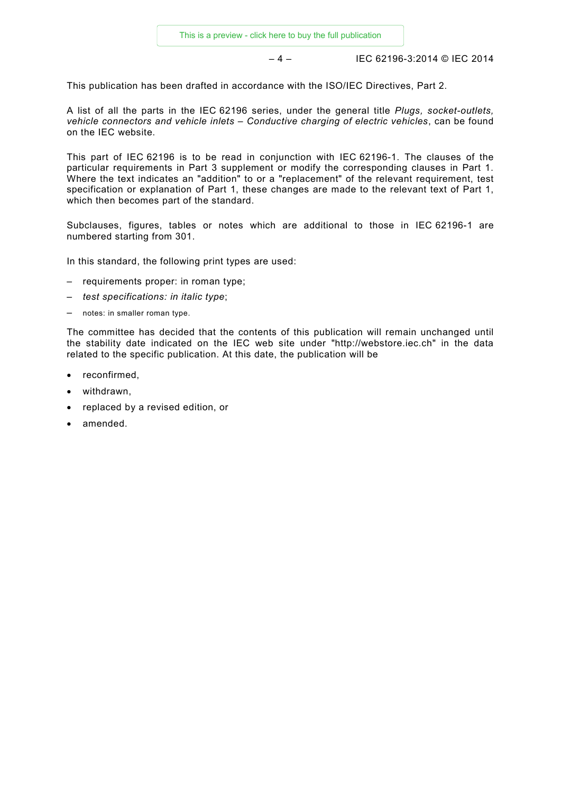– 4 – IEC 62196-3:2014 © IEC 2014

This publication has been drafted in accordance with the ISO/IEC Directives, Part 2.

A list of all the parts in the IEC 62196 series, under the general title *Plugs, socket-outlets, vehicle connectors and vehicle inlets – Conductive charging of electric vehicles*, can be found on the IEC website.

This part of IEC 62196 is to be read in conjunction with IEC 62196-1. The clauses of the particular requirements in Part 3 supplement or modify the corresponding clauses in Part 1. Where the text indicates an "addition" to or a "replacement" of the relevant requirement, test specification or explanation of Part 1, these changes are made to the relevant text of Part 1, which then becomes part of the standard.

Subclauses, figures, tables or notes which are additional to those in IEC 62196-1 are numbered starting from 301.

In this standard, the following print types are used:

- requirements proper: in roman type;
- *test specifications: in italic type*;
- notes: in smaller roman type.

The committee has decided that the contents of this publication will remain unchanged until the stability date indicated on the IEC web site under "http://webstore.iec.ch" in the data related to the specific publication. At this date, the publication will be

- reconfirmed,
- withdrawn.
- replaced by a revised edition, or
- amended.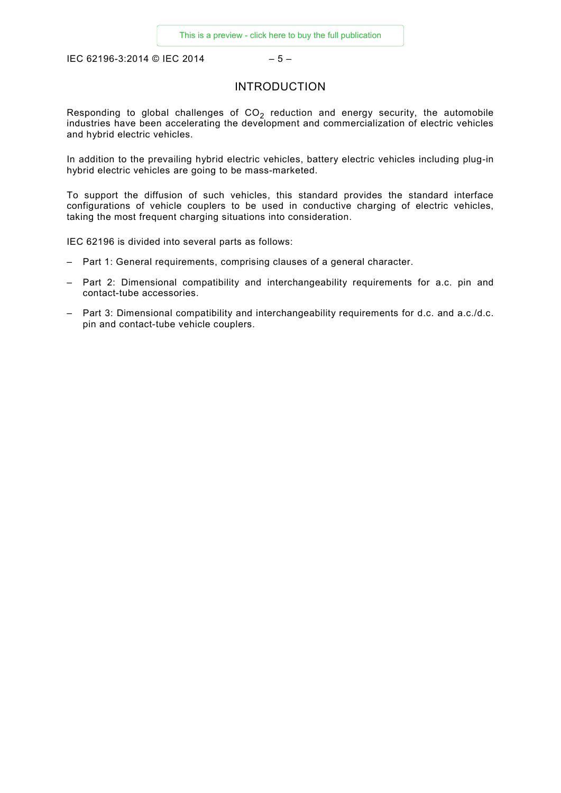<span id="page-4-0"></span>IEC 62196-3:2014 © IEC 2014 – 5 –

# INTRODUCTION

Responding to global challenges of  $CO<sub>2</sub>$  reduction and energy security, the automobile industries have been accelerating the development and commercialization of electric vehicles and hybrid electric vehicles.

In addition to the prevailing hybrid electric vehicles, battery electric vehicles including plug-in hybrid electric vehicles are going to be mass-marketed.

To support the diffusion of such vehicles, this standard provides the standard interface configurations of vehicle couplers to be used in conductive charging of electric vehicles, taking the most frequent charging situations into consideration.

IEC 62196 is divided into several parts as follows:

- Part 1: General requirements, comprising clauses of a general character.
- Part 2: Dimensional compatibility and interchangeability requirements for a.c. pin and contact-tube accessories.
- Part 3: Dimensional compatibility and interchangeability requirements for d.c. and a.c./d.c. pin and contact-tube vehicle couplers.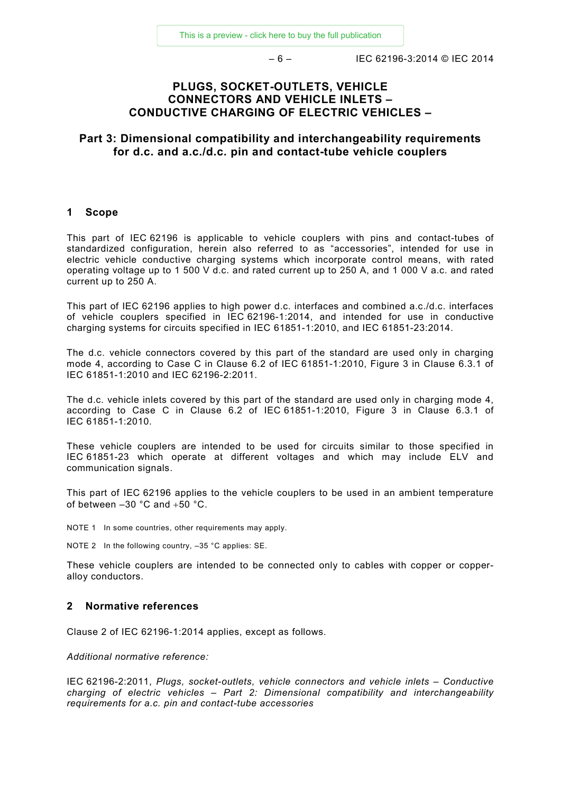– 6 – IEC 62196-3:2014 © IEC 2014

# **PLUGS, SOCKET-OUTLETS, VEHICLE CONNECTORS AND VEHICLE INLETS – CONDUCTIVE CHARGING OF ELECTRIC VEHICLES –**

# **Part 3: Dimensional compatibility and interchangeability requirements for d.c. and a.c./d.c. pin and contact-tube vehicle couplers**

#### <span id="page-5-0"></span>**1 Scope**

This part of IEC 62196 is applicable to vehicle couplers with pins and contact-tubes of standardized configuration, herein also referred to as "accessories", intended for use in electric vehicle conductive charging systems which incorporate control means, with rated operating voltage up to 1 500 V d.c. and rated current up to 250 A, and 1 000 V a.c. and rated current up to 250 A.

This part of IEC 62196 applies to high power d.c. interfaces and combined a.c./d.c. interfaces of vehicle couplers specified in IEC 62196-1:2014, and intended for use in conductive charging systems for circuits specified in IEC 61851-1:2010, and IEC 61851-23:2014.

The d.c. vehicle connectors covered by this part of the standard are used only in charging mode 4, according to Case C in Clause 6.2 of IEC 61851-1:2010, Figure 3 in Clause 6.3.1 of IEC 61851-1:2010 and IEC 62196-2:2011.

The d.c. vehicle inlets covered by this part of the standard are used only in charging mode 4, according to Case C in Clause 6.2 of IEC 61851-1:2010, Figure 3 in Clause 6.3.1 of IEC 61851-1:2010.

These vehicle couplers are intended to be used for circuits similar to those specified in IEC 61851-23 which operate at different voltages and which may include ELV and communication signals.

This part of IEC 62196 applies to the vehicle couplers to be used in an ambient temperature of between  $-30$  °C and  $+50$  °C.

NOTE 1 In some countries, other requirements may apply.

NOTE 2 In the following country, –35 °C applies: SE.

These vehicle couplers are intended to be connected only to cables with copper or copperalloy conductors.

#### <span id="page-5-1"></span>**2 Normative references**

Clause 2 of IEC 62196-1:2014 applies, except as follows.

*Additional normative reference:*

IEC 62196-2:2011, *Plugs, socket-outlets, vehicle connectors and vehicle inlets – Conductive charging of electric vehicles – Part 2: Dimensional compatibility and interchangeability requirements for a.c. pin and contact-tube accessories*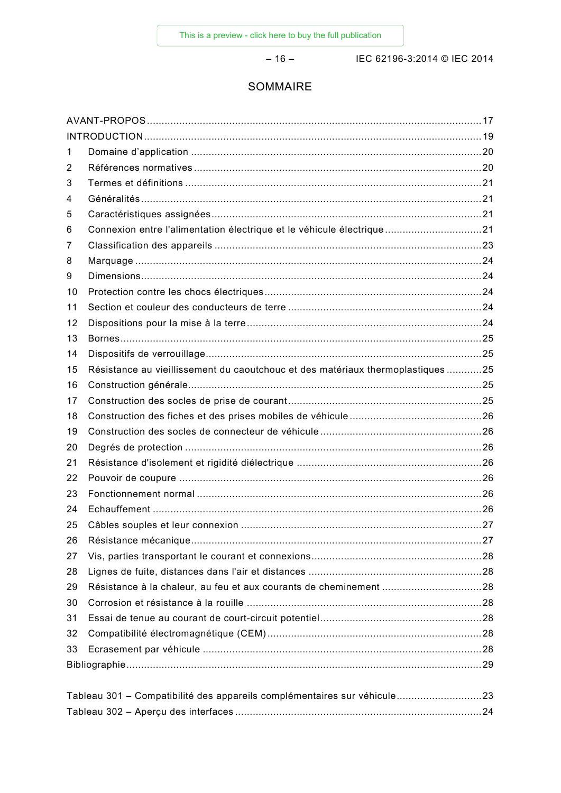$-16-$ 

IEC 62196-3:2014 © IEC 2014

# SOMMAIRE

| 1  |                                                                                 |    |  |
|----|---------------------------------------------------------------------------------|----|--|
| 2  |                                                                                 |    |  |
| 3  |                                                                                 |    |  |
| 4  |                                                                                 |    |  |
| 5  |                                                                                 |    |  |
| 6  | Connexion entre l'alimentation électrique et le véhicule électrique21           |    |  |
| 7  |                                                                                 |    |  |
| 8  |                                                                                 |    |  |
| 9  |                                                                                 |    |  |
| 10 |                                                                                 |    |  |
| 11 |                                                                                 |    |  |
| 12 |                                                                                 |    |  |
| 13 |                                                                                 |    |  |
| 14 |                                                                                 |    |  |
| 15 | Résistance au vieillissement du caoutchouc et des matériaux thermoplastiques 25 |    |  |
| 16 |                                                                                 |    |  |
| 17 |                                                                                 |    |  |
| 18 |                                                                                 |    |  |
| 19 |                                                                                 |    |  |
| 20 |                                                                                 |    |  |
| 21 |                                                                                 |    |  |
| 22 |                                                                                 |    |  |
| 23 |                                                                                 |    |  |
| 24 |                                                                                 |    |  |
| 25 |                                                                                 |    |  |
| 26 |                                                                                 |    |  |
| 27 |                                                                                 |    |  |
| 28 |                                                                                 |    |  |
| 29 |                                                                                 |    |  |
| 30 |                                                                                 |    |  |
| 31 |                                                                                 |    |  |
| 32 |                                                                                 |    |  |
| 33 |                                                                                 |    |  |
|    |                                                                                 |    |  |
|    |                                                                                 |    |  |
|    | Tableau 201 Compatibilité des appereils complémentaires sur véhicule            | ດລ |  |

|  | Tableau 301 – Compatibilité des appareils complémentaires sur véhicule23 |  |
|--|--------------------------------------------------------------------------|--|
|  |                                                                          |  |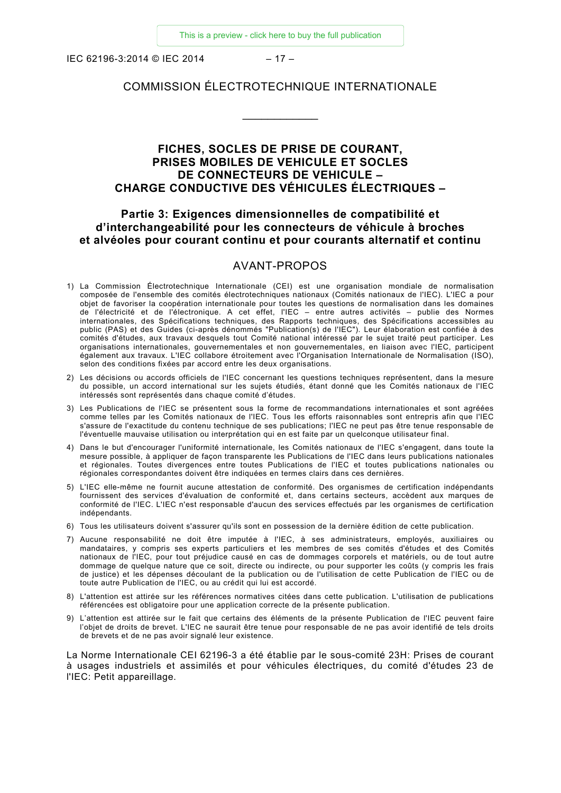IEC 62196-3:2014 © IEC 2014 – 17 –

# COMMISSION ÉLECTROTECHNIQUE INTERNATIONALE

\_\_\_\_\_\_\_\_\_\_\_\_

# **FICHES, SOCLES DE PRISE DE COURANT, PRISES MOBILES DE VEHICULE ET SOCLES DE CONNECTEURS DE VEHICULE – CHARGE CONDUCTIVE DES VÉHICULES ÉLECTRIQUES –**

# **Partie 3: Exigences dimensionnelles de compatibilité et d'interchangeabilité pour les connecteurs de véhicule à broches et alvéoles pour courant continu et pour courants alternatif et continu**

#### AVANT-PROPOS

- <span id="page-7-0"></span>1) La Commission Électrotechnique Internationale (CEI) est une organisation mondiale de normalisation composée de l'ensemble des comités électrotechniques nationaux (Comités nationaux de l'IEC). L'IEC a pour objet de favoriser la coopération internationale pour toutes les questions de normalisation dans les domaines de l'électricité et de l'électronique. A cet effet, l'IEC – entre autres activités – publie des Normes internationales, des Spécifications techniques, des Rapports techniques, des Spécifications accessibles au public (PAS) et des Guides (ci-après dénommés "Publication(s) de l'IEC"). Leur élaboration est confiée à des comités d'études, aux travaux desquels tout Comité national intéressé par le sujet traité peut participer. Les organisations internationales, gouvernementales et non gouvernementales, en liaison avec l'IEC, participent également aux travaux. L'IEC collabore étroitement avec l'Organisation Internationale de Normalisation (ISO), selon des conditions fixées par accord entre les deux organisations.
- 2) Les décisions ou accords officiels de l'IEC concernant les questions techniques représentent, dans la mesure du possible, un accord international sur les sujets étudiés, étant donné que les Comités nationaux de l'IEC intéressés sont représentés dans chaque comité d'études.
- 3) Les Publications de l'IEC se présentent sous la forme de recommandations internationales et sont agréées comme telles par les Comités nationaux de l'IEC. Tous les efforts raisonnables sont entrepris afin que l'IEC s'assure de l'exactitude du contenu technique de ses publications; l'IEC ne peut pas être tenue responsable de l'éventuelle mauvaise utilisation ou interprétation qui en est faite par un quelconque utilisateur final.
- 4) Dans le but d'encourager l'uniformité internationale, les Comités nationaux de l'IEC s'engagent, dans toute la mesure possible, à appliquer de façon transparente les Publications de l'IEC dans leurs publications nationales et régionales. Toutes divergences entre toutes Publications de l'IEC et toutes publications nationales ou régionales correspondantes doivent être indiquées en termes clairs dans ces dernières.
- 5) L'IEC elle-même ne fournit aucune attestation de conformité. Des organismes de certification indépendants fournissent des services d'évaluation de conformité et, dans certains secteurs, accèdent aux marques de conformité de l'IEC. L'IEC n'est responsable d'aucun des services effectués par les organismes de certification indépendants.
- 6) Tous les utilisateurs doivent s'assurer qu'ils sont en possession de la dernière édition de cette publication.
- 7) Aucune responsabilité ne doit être imputée à l'IEC, à ses administrateurs, employés, auxiliaires ou mandataires, y compris ses experts particuliers et les membres de ses comités d'études et des Comités nationaux de l'IEC, pour tout préjudice causé en cas de dommages corporels et matériels, ou de tout autre dommage de quelque nature que ce soit, directe ou indirecte, ou pour supporter les coûts (y compris les frais de justice) et les dépenses découlant de la publication ou de l'utilisation de cette Publication de l'IEC ou de toute autre Publication de l'IEC, ou au crédit qui lui est accordé.
- 8) L'attention est attirée sur les références normatives citées dans cette publication. L'utilisation de publications référencées est obligatoire pour une application correcte de la présente publication.
- 9) L'attention est attirée sur le fait que certains des éléments de la présente Publication de l'IEC peuvent faire l'objet de droits de brevet. L'IEC ne saurait être tenue pour responsable de ne pas avoir identifié de tels droits de brevets et de ne pas avoir signalé leur existence.

La Norme Internationale CEI 62196-3 a été établie par le sous-comité 23H: Prises de courant à usages industriels et assimilés et pour véhicules électriques, du comité d'études 23 de l'IEC: Petit appareillage.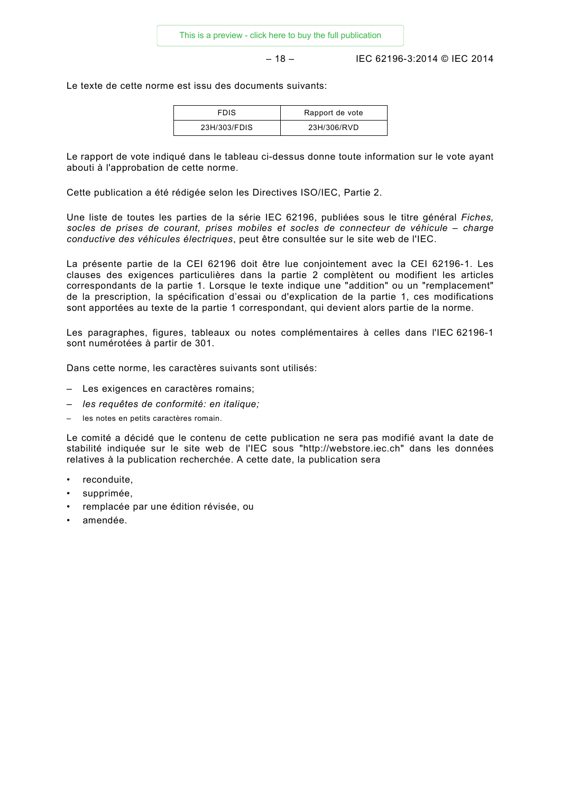$-18 -$  IEC 62196-3:2014 © IEC 2014

Le texte de cette norme est issu des documents suivants:

| <b>FDIS</b>  | Rapport de vote |
|--------------|-----------------|
| 23H/303/FDIS | 23H/306/RVD     |

Le rapport de vote indiqué dans le tableau ci-dessus donne toute information sur le vote ayant abouti à l'approbation de cette norme.

Cette publication a été rédigée selon les Directives ISO/IEC, Partie 2.

Une liste de toutes les parties de la série IEC 62196, publiées sous le titre général *Fiches, socles de prises de courant, prises mobiles et socles de connecteur de véhicule – charge conductive des véhicules électriques*, peut être consultée sur le site web de l'IEC.

La présente partie de la CEI 62196 doit être lue conjointement avec la CEI 62196-1. Les clauses des exigences particulières dans la partie 2 complètent ou modifient les articles correspondants de la partie 1. Lorsque le texte indique une "addition" ou un "remplacement" de la prescription, la spécification d'essai ou d'explication de la partie 1, ces modifications sont apportées au texte de la partie 1 correspondant, qui devient alors partie de la norme.

Les paragraphes, figures, tableaux ou notes complémentaires à celles dans l'IEC 62196-1 sont numérotées à partir de 301.

Dans cette norme, les caractères suivants sont utilisés:

- Les exigences en caractères romains;
- *les requêtes de conformité: en italique;*
- les notes en petits caractères romain.

Le comité a décidé que le contenu de cette publication ne sera pas modifié avant la date de stabilité indiquée sur le site web de l'IEC sous "http://webstore.iec.ch" dans les données relatives à la publication recherchée. A cette date, la publication sera

- reconduite,
- supprimée,
- remplacée par une édition révisée, ou
- amendée.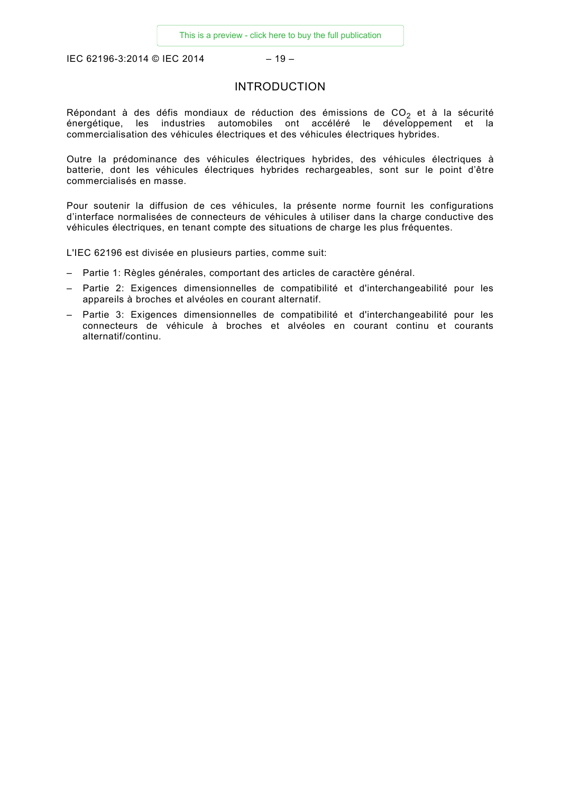<span id="page-9-0"></span>IEC 62196-3:2014 © IEC 2014 – 19 –

# INTRODUCTION

Répondant à des défis mondiaux de réduction des émissions de  $CO<sub>2</sub>$  et à la sécurité énergétique, les industries automobiles ont accéléré le développement et la commercialisation des véhicules électriques et des véhicules électriques hybrides.

Outre la prédominance des véhicules électriques hybrides, des véhicules électriques à batterie, dont les véhicules électriques hybrides rechargeables, sont sur le point d'être commercialisés en masse.

Pour soutenir la diffusion de ces véhicules, la présente norme fournit les configurations d'interface normalisées de connecteurs de véhicules à utiliser dans la charge conductive des véhicules électriques, en tenant compte des situations de charge les plus fréquentes.

L'IEC 62196 est divisée en plusieurs parties, comme suit:

- Partie 1: Règles générales, comportant des articles de caractère général.
- Partie 2: Exigences dimensionnelles de compatibilité et d'interchangeabilité pour les appareils à broches et alvéoles en courant alternatif.
- Partie 3: Exigences dimensionnelles de compatibilité et d'interchangeabilité pour les connecteurs de véhicule à broches et alvéoles en courant continu et courants alternatif/continu.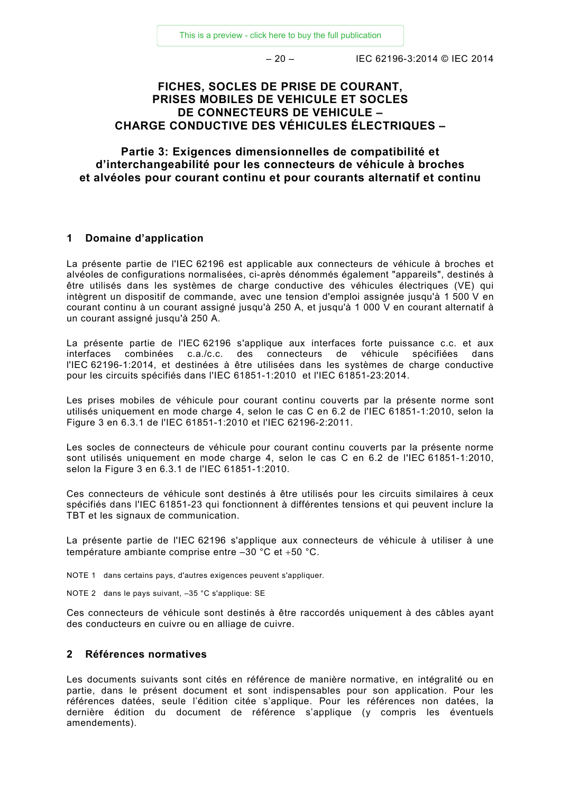– 20 – IEC 62196-3:2014 © IEC 2014

# **FICHES, SOCLES DE PRISE DE COURANT, PRISES MOBILES DE VEHICULE ET SOCLES DE CONNECTEURS DE VEHICULE – CHARGE CONDUCTIVE DES VÉHICULES ÉLECTRIQUES –**

**Partie 3: Exigences dimensionnelles de compatibilité et d'interchangeabilité pour les connecteurs de véhicule à broches et alvéoles pour courant continu et pour courants alternatif et continu**

## <span id="page-10-0"></span>**1 Domaine d'application**

La présente partie de l'IEC 62196 est applicable aux connecteurs de véhicule à broches et alvéoles de configurations normalisées, ci-après dénommés également "appareils", destinés à être utilisés dans les systèmes de charge conductive des véhicules électriques (VE) qui intègrent un dispositif de commande, avec une tension d'emploi assignée jusqu'à 1 500 V en courant continu à un courant assigné jusqu'à 250 A, et jusqu'à 1 000 V en courant alternatif à un courant assigné jusqu'à 250 A.

La présente partie de l'IEC 62196 s'applique aux interfaces forte puissance c.c. et aux interfaces combinées c.a./c.c. des connecteurs de véhicule spécifiées dans l'IEC 62196-1:2014, et destinées à être utilisées dans les systèmes de charge conductive pour les circuits spécifiés dans l'IEC 61851-1:2010 et l'IEC 61851-23:2014.

Les prises mobiles de véhicule pour courant continu couverts par la présente norme sont utilisés uniquement en mode charge 4, selon le cas C en 6.2 de l'IEC 61851-1:2010, selon la Figure 3 en 6.3.1 de l'IEC 61851-1:2010 et l'IEC 62196-2:2011.

Les socles de connecteurs de véhicule pour courant continu couverts par la présente norme sont utilisés uniquement en mode charge 4, selon le cas C en 6.2 de l'IEC 61851-1:2010, selon la Figure 3 en 6.3.1 de l'IEC 61851-1:2010.

Ces connecteurs de véhicule sont destinés à être utilisés pour les circuits similaires à ceux spécifiés dans l'IEC 61851-23 qui fonctionnent à différentes tensions et qui peuvent inclure la TBT et les signaux de communication.

La présente partie de l'IEC 62196 s'applique aux connecteurs de véhicule à utiliser à une température ambiante comprise entre –30 °C et +50 °C.

NOTE 1 dans certains pays, d'autres exigences peuvent s'appliquer.

NOTE 2 dans le pays suivant, –35 °C s'applique: SE

Ces connecteurs de véhicule sont destinés à être raccordés uniquement à des câbles ayant des conducteurs en cuivre ou en alliage de cuivre.

#### <span id="page-10-1"></span>**2 Références normatives**

Les documents suivants sont cités en référence de manière normative, en intégralité ou en partie, dans le présent document et sont indispensables pour son application. Pour les références datées, seule l'édition citée s'applique. Pour les références non datées, la dernière édition du document de référence s'applique (y compris les éventuels amendements).